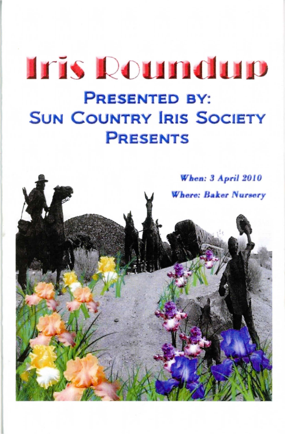# **Iris Roundurp PRESENTED BY: SUN COUNTRY IRIS SOCIETY PRESENTS**

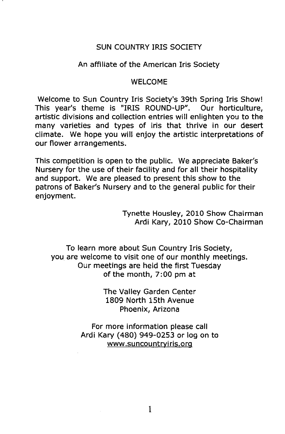# SUN COUNTRY IRIS SOCIETY

# An affiliate of the American Iris Society

## WELCOME

Welcome to Sun Country Iris Society's 39th Spring Iris Show! This year's theme is "IRIS ROUND-UP". Our horticulture, artistic divisions and collection entries will enlighten you to the many varieties and types of iris that thrive in our desert climate. We hope you will enjoy the artistic interpretations of our flower arrangements.

This competition is open to the public. We appreciate Baker's Nursery for the use of their facility and for all their hospitality and support. We are pleased to present this show to the patrons of Baker's Nursery and to the general public for their enjoyment.

> Tynette Housley, 2010 Show Chairman Ardi Kary, 2010 Show Co-Chairman

To learn more about Sun Country Iris Society, you are welcome to visit one of our monthly meetings. Our meetings are held the first Tuesday of the month, 7:00 pm at

> The Valley Garden Center 1809 North 15th Avenue Phoenix, Arizona

For more information please call Ardi Kary (480) 949-0253 or log on to www.suncountryiris.org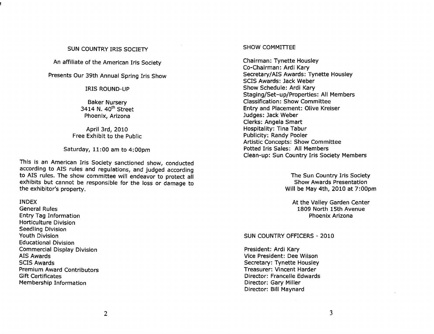# SUN COUNTRY IRIS SOCIETY

An affiliate of the American Iris Society

# Presents Our 39th Annual Spring Iris Show

IRIS ROUND-UP

Baker Nursery 3414 N. 40<sup>th</sup> Street Phoenix, Arizona

April 3rd, 2010 Free Exhibit to the Public

Saturday, 11:00 am to 4:00pm

This is an American Iris Society sanctioned show, conducted according to AIS rules and regulations, and judged according to AIS rules. The show committee will endeavor to protect all exhibits but cannot be responsible for the loss or damage to the exhibitor's property.

## INDEX

General Rules Entry Tag Information Horticulture Division Seedling Division Youth Division Educational Division Commercial Display Division AIS Awards SCIS Awards Premium Award Contributors Gift Certificates Membership Information

## SHOW COMMITIEE

Chairman: Tynette Housley Co-Chairman: Ardi Kary Secretary/AIS Awards: Tynette Housley SCIS Awards: Jack Weber Show Schedule: Ardi Kary Staging/Set-up/Properties: All Members Classification: Show Committee Entry and Placement: Olive Kreiser Judges: Jack Weber Clerks: Angela Smart Hospitality: Tina Tabur Publicity: Randy Pooler Artistic Concepts: Show Committee Potted Iris Sales: All Members Clean-up: Sun Country Iris Society Members

> The Sun Country Iris Society Show Awards Presentation Will be May 4th, 2010 at 7:00pm

At the Valley Garden Center 1809 North 15th Avenue Phoenix Arizona

# SUN COUNTRY OFFICERS - 2010

President: Ardi Kary Vice President: Dee Wilson Secretary: Tynette Housley Treasurer: Vincent Harder Director: Francelle Edwards Director: Gary Miller Director: Bill Maynard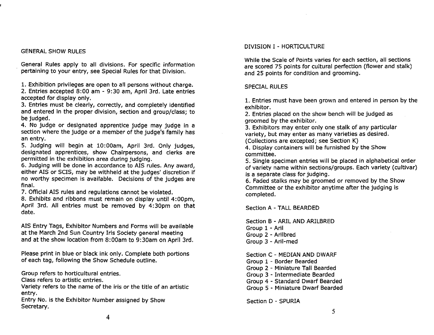# GENERAL SHOW RULES

General Rules apply to all divisions. For specific information pertaining to your entry, see Special Rules for that Division.

1. Exhibition privileges are open to all persons without charge. 2. Entries accepted 8:00 am - 9:30 am, April 3rd. Late entries accepted for display only.

3. Entries must be clearly, correctly, and completely identified and entered in the proper division, section and group/class; to be judged.

4. No judge or designated apprentice judge may judge in a section where the judge or a member of the judge's family has an entry.

5. Judging will begin at 10:00am, April 3rd. Only judges, designated apprentices, show Chairpersons, and clerks are permitted in the exhibition area during judging.

6. Judging will be done in accordance to AIS rules. Any award, either AIS or SCIS, may be withheld at the judges' discretion if no worthy specimen is available. Decisions of the judges are final.

7. Official AIS rules and regulations cannot be violated.

8. Exhibits and ribbons must remain on display until 4:00pm, April 3rd. All entries must be removed by 4:30pm on that date.

AIS Entry Tags, Exhibitor Numbers and Forms will be available at the March 2nd Sun Country Iris Society general meeting and at the show location from 8:00am to 9:30am on April 3rd.

Please print in blue or black ink only. Complete both portions of each tag, following the Show Schedule outline.

Group refers to horticultural entries.

Class refers to artistic entries.

Variety refers to the name of the iris or the title of an artistic entry.

Entry No. is the Exhibitor Number assigned by Show Secretary.

## DIVISION I - HORTICULTURE

While the Scale of Points varies for each section, all sections are scored 75 points for cultural perfection (flower and stalk) and 25 points for condition and grooming.

# SPECIAL RULES

1. Entries must have been grown and entered in person by the exhibitor.

2. Entries placed on the show bench will be judged as groomed by the exhibitor.

3. Exhibitors may enter only one stalk of any particular variety, but may enter as many varieties as desired.

(Collections are excepted; see Section K)

4. Display containers will be furnished by the Show committee.

5. Single specimen entries will be placed in alphabetical order of variety name within sections/groups. Each variety (cultivar) is a separate class for judging.

6. Faded stalks may be groomed or removed by the Show Committee or the exhibitor anytime after the judging is completed.

Section A - TALL BEARDED

Section B - ARIL AND ARILBRED Group 1 - Aril Group 2 - Arilbred Group 3 - Aril-med

Section C - MEDIAN AND DWARF Group 1 - Border Bearded Group 2 - Miniature Tall Bearded Group 3 - Intermediate Bearded Group 4 - Standard Dwarf Bearded Group 5 - Miniature Dwarf Bearded

Section D - SPURIA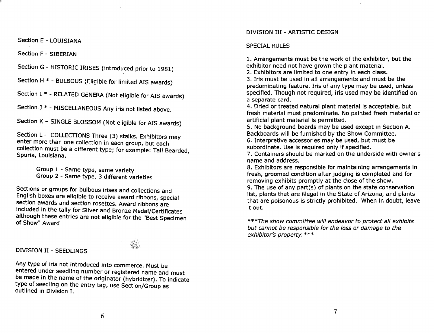Section E - LOUISIANA

Section F - SIBERIAN

Section G - HISTORIC IRISES (introduced prior to 1981)

Section H \* - BULBOUS (Eligible for limited AIS awards)

Section I \* - RELATED GENERA (Not eligible for AIS awards)

Section J \* - MISCELLANEOUS Any iris not listed above.

Section K - SINGLE BLOSSOM (Not eligible for AIS awards)

Section L - COLLECTIONS Three (3) stalks. Exhibitors may enter more than one collection in each group, but each collection must be a different type; for example: Tall Bearded, Spuria, Louisiana.

> Group 1 - Same type, same variety Group 2 - Same type, 3 different varieties

Sections or groups for bulbous irises and collections and English boxes are eligible to receive award ribbons, special section awards and section rosettes. Award ribbons are included in the tally for Silver and Bronze Medal/Certificates although these entries are not eligible for the "Best Specimen of Show" Award

# DIVISION II - SEEDLINGS

Any type of iris not introduced into commerce. Must be entered under seedling number or registered name and must be made in the name of the originator (hybridizer). To indicate type of seedling on the entry tag, use Section/Group as outlined in Division I.

#### DIVISION III - ARTISTIC DESIGN

#### SPECIAL RULES

1. Arrangements must be the work of the exhibitor, but the exhibitor need not have grown the plant material.

2. Exhibitors are limited to one entry in each class.

3. Iris must be used in all arrangements and must be the predominating feature. Iris of any type may be used, unless specified. Though not required, iris used may be identified on a separate card.

4. Dried or treated natural plant material is acceptable, but fresh material must predominate. No painted fresh material or artificial plant material is permitted.

5. No background boards may be used except in Section A. Backboards will be furnished by the Show Committee.

6. Interpretive accessories may be used, but must be subordinate. Use is required only if specified.

7. Containers should be marked on the underside with owner's name and address. .

8. Exhibitors are responsible for maintaining arrangements In fresh, groomed condition after judging is completed and for removing exhibits promptly at the close of the show. .

9. The use of any part(s) of plants on the state conservation list, plants that are illegal in the State of Arizona, and plants that are poisonous is strictly prohibited. When in doubt, leave it out.

\*\*\*The show committee will endeavor to protect all exhibits but cannot be responsible for the loss or damage to the exhibitor's property. \*\*\*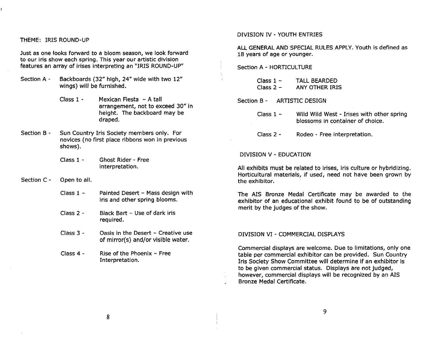## THEME: IRIS ROUND-UP

Just as one looks forward to a bloom season, we look forward to our iris show each spring. This year our artistic division features an array of irises interpreting an "IRIS ROUND-UP"

- Section A Backboards (32" high, 24" wide with two 12" wings) will be furnished.
	- Class 1 Mexican Fiesta A tall arrangement, not to exceed 30" in height. The backboard may be draped.
- Section B Sun Country Iris Society members only. For novices (no first place ribbons won in previous shows).
	- Class 1 Ghost Rider - Free interpretation.
- Section C Open to all.
	- Class  $1 -$ Painted Desert - Mass design with iris and other spring blooms.
	- Class 2 Black Bart - Use of dark iris required.
	- Class 3 Oasis in the Desert - Creative use of mirror(s) and/or visible water.
	- Class 4 Rise of the Phoenix - Free Interpretation.

## DIVISION IV - YOUTH ENTRIES

ALL GENERAL AND SPECIAL RULES APPLY. Youth is defined as 18 years of age or younger.

Section A - HORTICULTURE

Class  $1 -$ Class  $2 -$ TALL BEARDED ANY OTHER IRIS

Section B - ARTISTIC DESIGN

Class  $1 -$ Wild Wild West - Irises with other spring blossoms in container of choice.

Class 2 - Rodeo - Free interpretation.

#### DIVISION V - EDUCATION

All exhibits must be related to irises, iris culture or hybridizing. Horticultural materials, if used, need not have been grown by the exhibitor.

The AIS Bronze Medal Certificate may be awarded to the exhibitor of an educational exhibit found to be of outstanding merit by the judges of the show.

#### DIVISION VI - COMMERCIAL DISPLAYS

Commercial displays are welcome. Due to limitations, only one table per commercial exhibitor can be provided. Sun Country Iris Society Show Committee will determine if an exhibitor is to be given commercial status. Displays are not judged, however, commercial displays will be recognized by an AIS Bronze Medal Certificate.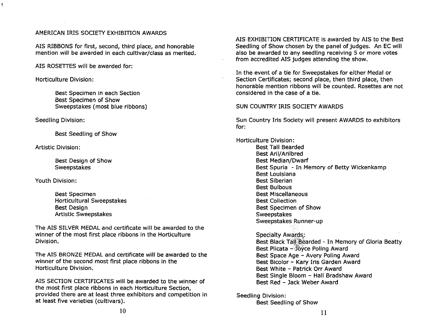# AMERICAN IRIS SOCIETY EXHIBITION AWARDS

AIS RIBBONS for first, second, third place, and honorable mention will be awarded in each cultivar/class as merited.

AIS ROSETTES will be awarded for:

Horticulture Division:

Best Specimen in each Section Best Specimen of Show Sweepstakes (most blue ribbons)

Seedling Division:

Best Seedling of Show

Artistic Division:

Best Design of Show **Sweepstakes** 

Youth Division:

Best Specimen Horticultural Sweepstakes Best DeSign Artistic Sweepstakes

The AIS SILVER MEDAL and certificate will be awarded to the winner of the most first place ribbons in the Horticulture Division.

The AIS BRONZE MEDAL and certificate will be awarded to the winner of the second most first place ribbons in the Horticulture Division.

AIS SECTION CERTIFICATES will be awarded to the winner of the most first place ribbons in each Horticulture Section, provided there are at least three exhibitors and competition in at least five varieties (cultivars).

AIS EXHIBITION CERTIFICATE is awarded by AIS to the Best Seedling of Show chosen by the panel of judges. An EC will also be awarded to any seedling receiving 5 or more votes from accredited AIS judges attending the show.

In the event of a tie for Sweepstakes for either Medal or Section Certificates; second place, then third place, then honorable mention ribbons will be counted. Rosettes are not considered in the case of a tie.

# SUN COUNTRY IRIS SOCIETY AWARDS

Sun Country Iris Society will present AWARDS to exhibitors for:

Horticulture Division: Best Tall Bearded Best Aril/Arilbred Best Median/Dwarf Best Spuria - In Memory of Betty Wickenkamp Best Louisiana Best Siberian Best Bulbous Best Miscellaneous Best Collection Best Specimen of Show **Sweepstakes** Sweepstakes Runner-up

> Specialty Awards: Best Black Tall Bearded - In Memory of Gloria Beatty Best Plicata - Joyce Poling Award Best Space Age - Avery Poling Award Best Bicolor - Kary Iris Garden Award Best White - Patrick Orr Award Best Single Bloom - Hall Bradshaw Award Best Red - Jack Weber Award

Seedling Division:

Best Seedling of Show